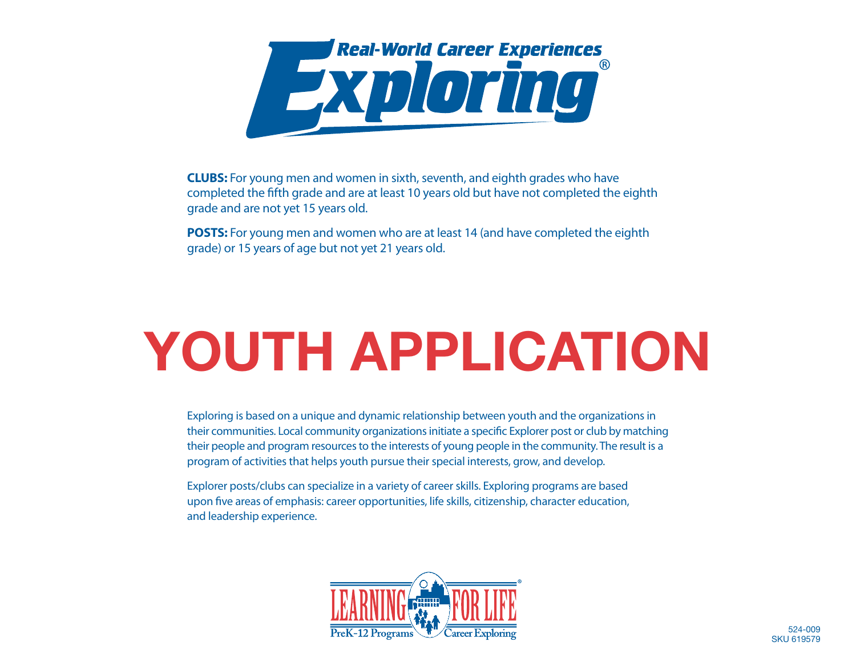

**CLUBS:** For young men and women in sixth, seventh, and eighth grades who have completed the fifth grade and are at least 10 years old but have not completed the eighth grade and are not yet 15 years old.

**POSTS:** For young men and women who are at least 14 (and have completed the eighth grade) or 15 years of age but not yet 21 years old.

## **YOUTH APPLICATION**

Exploring is based on a unique and dynamic relationship between youth and the organizations in their communities. Local community organizations initiate a specific Explorer post or club by matching their people and program resources to the interests of young people in the community. The result is a program of activities that helps youth pursue their special interests, grow, and develop.

Explorer posts/clubs can specialize in a variety of career skills. Exploring programs are based upon five areas of emphasis: career opportunities, life skills, citizenship, character education, and leadership experience.

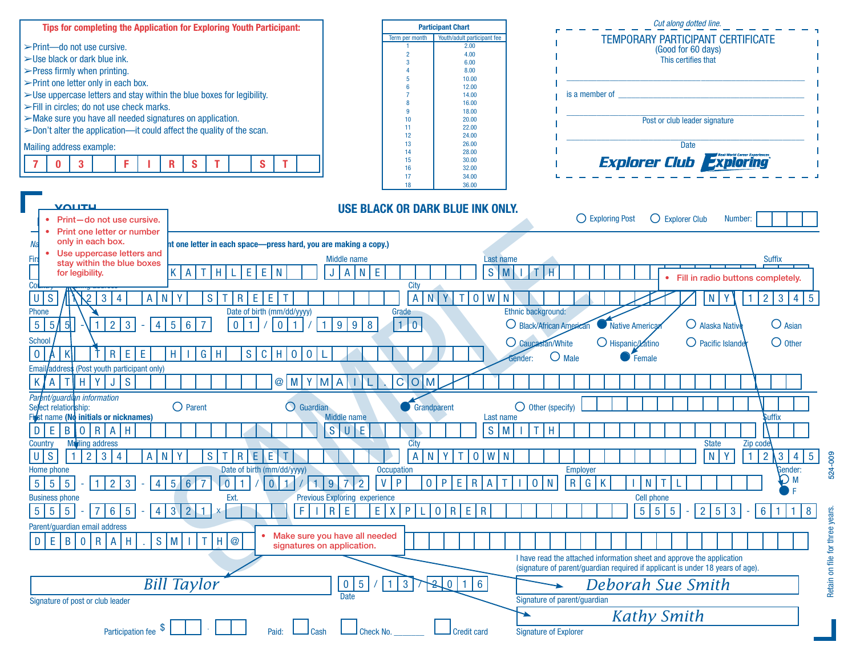

**Participant Chart**

*Cut along dotted line.*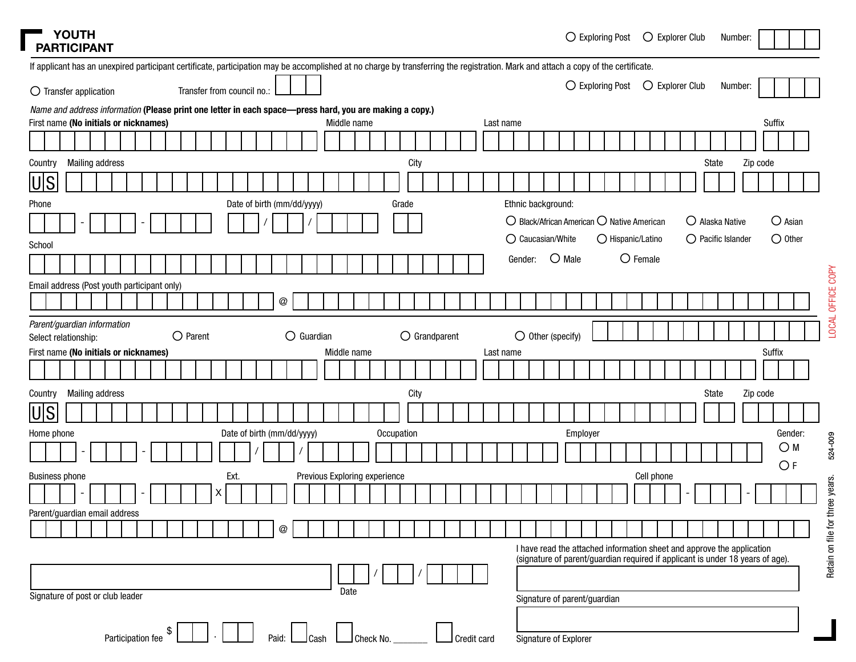| <b>PARTICIPANT</b>                                                                                                                                                                 | <b>YOUTH</b> |                        |  |  |                            |   |      |  |                            |                               |  |             |            |       |                        |  |  |           |         |                                                              | $\bigcirc$ Exploring Post |  |                   | $\bigcirc$ Explorer Club |  |                             | Number: |          |                  |  |
|------------------------------------------------------------------------------------------------------------------------------------------------------------------------------------|--------------|------------------------|--|--|----------------------------|---|------|--|----------------------------|-------------------------------|--|-------------|------------|-------|------------------------|--|--|-----------|---------|--------------------------------------------------------------|---------------------------|--|-------------------|--------------------------|--|-----------------------------|---------|----------|------------------|--|
| If applicant has an unexpired participant certificate, participation may be accomplished at no charge by transferring the registration. Mark and attach a copy of the certificate. |              |                        |  |  |                            |   |      |  |                            |                               |  |             |            |       |                        |  |  |           |         |                                                              |                           |  |                   |                          |  |                             |         |          |                  |  |
| $\bigcirc$ Transfer application                                                                                                                                                    |              |                        |  |  | Transfer from council no.: |   |      |  |                            |                               |  |             |            |       |                        |  |  |           |         |                                                              | ◯ Exploring Post          |  |                   | $\bigcirc$ Explorer Club |  |                             | Number: |          |                  |  |
| Name and address information (Please print one letter in each space-press hard, you are making a copy.)                                                                            |              |                        |  |  |                            |   |      |  |                            |                               |  |             |            |       |                        |  |  |           |         |                                                              |                           |  |                   |                          |  |                             |         |          |                  |  |
| First name (No initials or nicknames)                                                                                                                                              |              |                        |  |  |                            |   |      |  |                            |                               |  | Middle name |            |       |                        |  |  | Last name |         |                                                              |                           |  |                   |                          |  |                             |         |          | Suffix           |  |
|                                                                                                                                                                                    |              |                        |  |  |                            |   |      |  |                            |                               |  |             |            |       |                        |  |  |           |         |                                                              |                           |  |                   |                          |  |                             |         |          |                  |  |
| Country                                                                                                                                                                            |              | <b>Mailing address</b> |  |  |                            |   |      |  |                            |                               |  |             |            |       | City                   |  |  |           |         |                                                              |                           |  |                   |                          |  | State                       |         | Zip code |                  |  |
| <u> U S</u>                                                                                                                                                                        |              |                        |  |  |                            |   |      |  |                            |                               |  |             |            |       |                        |  |  |           |         |                                                              |                           |  |                   |                          |  |                             |         |          |                  |  |
| Phone                                                                                                                                                                              |              |                        |  |  |                            |   |      |  | Date of birth (mm/dd/yyyy) |                               |  |             |            | Grade |                        |  |  |           |         | Ethnic background:                                           |                           |  |                   |                          |  |                             |         |          |                  |  |
|                                                                                                                                                                                    |              |                        |  |  |                            |   |      |  |                            |                               |  |             |            |       |                        |  |  |           |         | $\bigcirc$ Black/African American $\bigcirc$ Native American |                           |  |                   |                          |  | O Alaska Native             |         |          | $\bigcirc$ Asian |  |
|                                                                                                                                                                                    |              |                        |  |  |                            |   |      |  |                            |                               |  |             |            |       |                        |  |  |           |         | O Caucasian/White                                            |                           |  | O Hispanic/Latino |                          |  | $\bigcirc$ Pacific Islander |         |          | $\bigcirc$ Other |  |
| School                                                                                                                                                                             |              |                        |  |  |                            |   |      |  |                            |                               |  |             |            |       |                        |  |  |           |         |                                                              |                           |  |                   |                          |  |                             |         |          |                  |  |
|                                                                                                                                                                                    |              |                        |  |  |                            |   |      |  |                            |                               |  |             |            |       |                        |  |  |           | Gender: | $O$ Male                                                     |                           |  | $\bigcirc$ Female |                          |  |                             |         |          |                  |  |
| Email address (Post youth participant only)                                                                                                                                        |              |                        |  |  |                            |   |      |  |                            |                               |  |             |            |       |                        |  |  |           |         |                                                              |                           |  |                   |                          |  |                             |         |          |                  |  |
|                                                                                                                                                                                    |              |                        |  |  |                            |   |      |  | @                          |                               |  |             |            |       |                        |  |  |           |         |                                                              |                           |  |                   |                          |  |                             |         |          |                  |  |
| Parent/guardian information                                                                                                                                                        |              |                        |  |  |                            |   |      |  |                            |                               |  |             |            |       |                        |  |  |           |         |                                                              |                           |  |                   |                          |  |                             |         |          |                  |  |
| Select relationship:                                                                                                                                                               |              |                        |  |  | $\bigcirc$ Parent          |   |      |  |                            | $\bigcirc$ Guardian           |  |             |            |       | $\bigcirc$ Grandparent |  |  |           |         | $\bigcirc$ Other (specify)                                   |                           |  |                   |                          |  |                             |         |          |                  |  |
| First name (No initials or nicknames)                                                                                                                                              |              |                        |  |  |                            |   |      |  |                            |                               |  | Middle name |            |       |                        |  |  | Last name |         |                                                              |                           |  |                   |                          |  |                             |         |          | Suffix           |  |
|                                                                                                                                                                                    |              |                        |  |  |                            |   |      |  |                            |                               |  |             |            |       |                        |  |  |           |         |                                                              |                           |  |                   |                          |  |                             |         |          |                  |  |
| Country                                                                                                                                                                            |              | <b>Mailing address</b> |  |  |                            |   |      |  |                            |                               |  |             |            |       | City                   |  |  |           |         |                                                              |                           |  |                   |                          |  | State                       |         | Zip code |                  |  |
| U S                                                                                                                                                                                |              |                        |  |  |                            |   |      |  |                            |                               |  |             |            |       |                        |  |  |           |         |                                                              |                           |  |                   |                          |  |                             |         |          |                  |  |
| Home phone                                                                                                                                                                         |              |                        |  |  |                            |   |      |  | Date of birth (mm/dd/yyyy) |                               |  |             | Occupation |       |                        |  |  |           |         |                                                              | Employer                  |  |                   |                          |  |                             |         |          | Gender:          |  |
|                                                                                                                                                                                    |              |                        |  |  |                            |   |      |  |                            |                               |  |             |            |       |                        |  |  |           |         |                                                              |                           |  |                   |                          |  |                             |         |          | $\bigcirc$ M     |  |
|                                                                                                                                                                                    |              |                        |  |  |                            |   |      |  |                            |                               |  |             |            |       |                        |  |  |           |         |                                                              |                           |  |                   |                          |  |                             |         |          | O F              |  |
| <b>Business phone</b>                                                                                                                                                              |              |                        |  |  |                            |   | Ext. |  |                            | Previous Exploring experience |  |             |            |       |                        |  |  |           |         |                                                              |                           |  |                   | Cell phone               |  |                             |         |          |                  |  |
|                                                                                                                                                                                    |              |                        |  |  |                            | X |      |  |                            |                               |  |             |            |       |                        |  |  |           |         |                                                              |                           |  |                   |                          |  |                             |         |          |                  |  |

**Date** 

@

/ /

Paid: Cash Check No. Check No. Credit card

Parent/guardian email address

Signature of post or club leader

Participation fee \$ .

LOCAL OFFICE COPY LOCAL OFFICE COPY

Retain on file for three years. Retain on file for three years.

I have read the attached information sheet and approve the application (signature of parent/guardian required if applicant is under 18 years of age).

Signature of Explorer

Signature of parent/guardian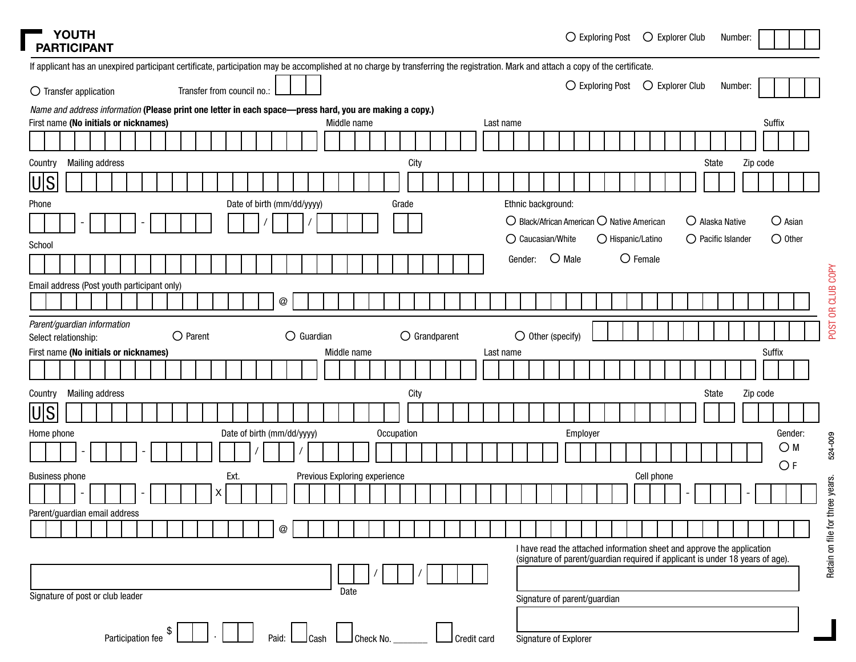| <b>STATE</b><br><b>PARTICIPANT</b>                                                                                                                                                 | YOUTH |                        |  |                   |   |                            |  |                           |                               |             |  |       |            |                        |  |           |                                                              |                            | $\bigcirc$ Exploring Post |  |                   | $\bigcirc$ Explorer Club |  |                    | Number: |          |        |                  |  |
|------------------------------------------------------------------------------------------------------------------------------------------------------------------------------------|-------|------------------------|--|-------------------|---|----------------------------|--|---------------------------|-------------------------------|-------------|--|-------|------------|------------------------|--|-----------|--------------------------------------------------------------|----------------------------|---------------------------|--|-------------------|--------------------------|--|--------------------|---------|----------|--------|------------------|--|
| If applicant has an unexpired participant certificate, participation may be accomplished at no charge by transferring the registration. Mark and attach a copy of the certificate. |       |                        |  |                   |   |                            |  |                           |                               |             |  |       |            |                        |  |           |                                                              |                            |                           |  |                   |                          |  |                    |         |          |        |                  |  |
| $\bigcirc$ Transfer application                                                                                                                                                    |       |                        |  |                   |   | Transfer from council no.: |  |                           |                               |             |  |       |            |                        |  |           |                                                              |                            | ○ Exploring Post          |  |                   | ○ Explorer Club          |  |                    | Number: |          |        |                  |  |
| Name and address information (Please print one letter in each space-press hard, you are making a copy.)                                                                            |       |                        |  |                   |   |                            |  |                           |                               |             |  |       |            |                        |  |           |                                                              |                            |                           |  |                   |                          |  |                    |         |          |        |                  |  |
| First name (No initials or nicknames)                                                                                                                                              |       |                        |  |                   |   |                            |  |                           |                               | Middle name |  |       |            |                        |  | Last name |                                                              |                            |                           |  |                   |                          |  |                    |         |          | Suffix |                  |  |
|                                                                                                                                                                                    |       |                        |  |                   |   |                            |  |                           |                               |             |  |       |            |                        |  |           |                                                              |                            |                           |  |                   |                          |  |                    |         |          |        |                  |  |
| Country                                                                                                                                                                            |       | <b>Mailing address</b> |  |                   |   |                            |  |                           |                               |             |  |       | City       |                        |  |           |                                                              |                            |                           |  |                   |                          |  | State              |         | Zip code |        |                  |  |
| U S                                                                                                                                                                                |       |                        |  |                   |   |                            |  |                           |                               |             |  |       |            |                        |  |           |                                                              |                            |                           |  |                   |                          |  |                    |         |          |        |                  |  |
| Phone                                                                                                                                                                              |       |                        |  |                   |   |                            |  |                           | Date of birth (mm/dd/yyyy)    |             |  | Grade |            |                        |  |           | Ethnic background:                                           |                            |                           |  |                   |                          |  |                    |         |          |        |                  |  |
|                                                                                                                                                                                    |       |                        |  |                   |   |                            |  |                           |                               |             |  |       |            |                        |  |           | $\bigcirc$ Black/African American $\bigcirc$ Native American |                            |                           |  |                   |                          |  | O Alaska Native    |         |          |        | $\bigcirc$ Asian |  |
| School                                                                                                                                                                             |       |                        |  |                   |   |                            |  |                           |                               |             |  |       |            |                        |  |           | ○ Caucasian/White                                            |                            |                           |  | O Hispanic/Latino |                          |  | O Pacific Islander |         |          |        | $\bigcirc$ Other |  |
|                                                                                                                                                                                    |       |                        |  |                   |   |                            |  |                           |                               |             |  |       |            |                        |  |           | Gender:                                                      | $O$ Male                   |                           |  | $O$ Female        |                          |  |                    |         |          |        |                  |  |
|                                                                                                                                                                                    |       |                        |  |                   |   |                            |  |                           |                               |             |  |       |            |                        |  |           |                                                              |                            |                           |  |                   |                          |  |                    |         |          |        |                  |  |
| Email address (Post youth participant only)                                                                                                                                        |       |                        |  |                   |   |                            |  |                           |                               |             |  |       |            |                        |  |           |                                                              |                            |                           |  |                   |                          |  |                    |         |          |        |                  |  |
|                                                                                                                                                                                    |       |                        |  |                   |   |                            |  | $^\text{\textregistered}$ |                               |             |  |       |            |                        |  |           |                                                              |                            |                           |  |                   |                          |  |                    |         |          |        |                  |  |
| Parent/guardian information<br>Select relationship:                                                                                                                                |       |                        |  | $\bigcirc$ Parent |   |                            |  |                           | $\bigcirc$ Guardian           |             |  |       |            | $\bigcirc$ Grandparent |  |           |                                                              | $\bigcirc$ Other (specify) |                           |  |                   |                          |  |                    |         |          |        |                  |  |
| First name (No initials or nicknames)                                                                                                                                              |       |                        |  |                   |   |                            |  |                           |                               | Middle name |  |       |            |                        |  | Last name |                                                              |                            |                           |  |                   |                          |  |                    |         |          | Suffix |                  |  |
|                                                                                                                                                                                    |       |                        |  |                   |   |                            |  |                           |                               |             |  |       |            |                        |  |           |                                                              |                            |                           |  |                   |                          |  |                    |         |          |        |                  |  |
| Country                                                                                                                                                                            |       | <b>Mailing address</b> |  |                   |   |                            |  |                           |                               |             |  |       | City       |                        |  |           |                                                              |                            |                           |  |                   |                          |  | State              |         | Zip code |        |                  |  |
| U S                                                                                                                                                                                |       |                        |  |                   |   |                            |  |                           |                               |             |  |       |            |                        |  |           |                                                              |                            |                           |  |                   |                          |  |                    |         |          |        |                  |  |
| Home phone                                                                                                                                                                         |       |                        |  |                   |   | Date of birth (mm/dd/yyyy) |  |                           |                               |             |  |       | Occupation |                        |  |           |                                                              |                            | Employer                  |  |                   |                          |  |                    |         |          |        | Gender:          |  |
|                                                                                                                                                                                    |       |                        |  |                   |   |                            |  |                           |                               |             |  |       |            |                        |  |           |                                                              |                            |                           |  |                   |                          |  |                    |         |          |        | $\bigcirc$ M     |  |
|                                                                                                                                                                                    |       |                        |  |                   |   |                            |  |                           |                               |             |  |       |            |                        |  |           |                                                              |                            |                           |  |                   |                          |  |                    |         |          |        | O F              |  |
| <b>Business phone</b>                                                                                                                                                              |       |                        |  |                   |   | Ext.                       |  |                           | Previous Exploring experience |             |  |       |            |                        |  |           |                                                              |                            |                           |  |                   | Cell phone               |  |                    |         |          |        |                  |  |
|                                                                                                                                                                                    |       |                        |  |                   | X |                            |  |                           |                               |             |  |       |            |                        |  |           |                                                              |                            |                           |  |                   |                          |  |                    |         |          |        |                  |  |
| Parent/guardian email address                                                                                                                                                      |       |                        |  |                   |   |                            |  |                           |                               |             |  |       |            |                        |  |           |                                                              |                            |                           |  |                   |                          |  |                    |         |          |        |                  |  |

| ì |
|---|
|   |
|   |
| ÷ |
| ĭ |
|   |

524-009

POST OR CLUB COPY POST OR CLUB COPY

/ / Signature of parent/guardian

Date

Paid: Cash Check No. Check No. Credit card

@

Participation fee \$ .

Signature of post or club leader

Signature of Explorer

I have read the attached information sheet and approve the application (signature of parent/guardian required if applicant is under 18 years of age).